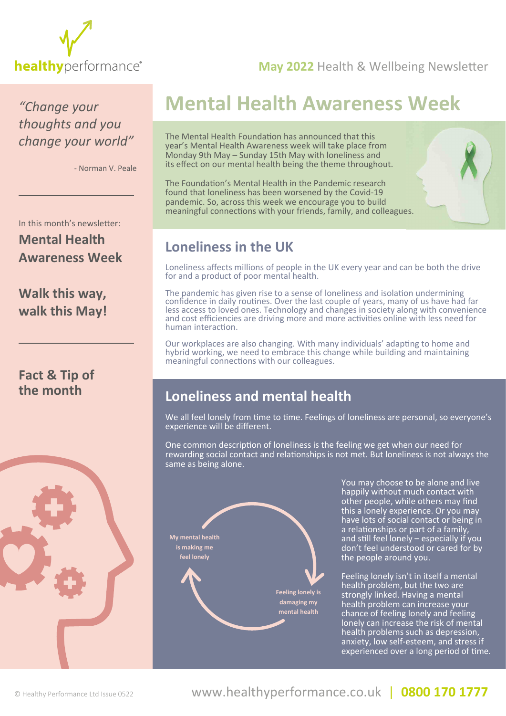

### **healthy** [performance](www.healthyperformance.co.uk)<sup>®</sup> May 2022 Health & Wellbeing Newsletter

*"Change your thoughts and you change your world"*

- Norman V. Peale

# **Mental Health Awareness Week**

The Mental Health Foundation has announced that this year's Mental Health Awareness week will take place from Monday 9th May – Sunday 15th May with loneliness and its effect on our mental health being the theme throughout.

The Foundation's Mental Health in the Pandemic research found that loneliness has been worsened by the Covid-19 pandemic. So, across this week we encourage you to build meaningful connections with your friends, family, and colleagues.



### **Loneliness in the UK**

Loneliness affects millions of people in the UK every year and can be both the drive for and a product of poor mental health.

The pandemic has given rise to a sense of loneliness and isolation undermining confidence in daily routines. Over the last couple of years, many of us have had far less access to loved ones. Technology and changes in society along with convenience and cost efficiencies are driving more and more activities online with less need for human interaction.

Our workplaces are also changing. With many individuals' adapting to home and hybrid working, we need to embrace this change while building and maintaining meaningful connections with our colleagues.

### **Loneliness and mental health**

We all feel lonely from time to time. Feelings of loneliness are personal, so everyone's experience will be different.

One common description of loneliness is the feeling we get when our need for rewarding social contact and relationships is not met. But loneliness is not always the same as being alone.



 other people, while others may find the people around you.

 Feeling lonely isn't in itself a mental health problem, but the two are strongly linked. Having a mental health problem can increase your chance of feeling lonely and feeling lonely can increase the risk of mental health problems such as depression, anxiety, low self-esteem, and stress if experienced over a long period of time.

In this month's newsletter:

### **Mental Health Awareness Week**

### **[Walk this way,](#page-2-0)  walk this May!**

### **[Fact & Tip of](#page-3-0)  the month**

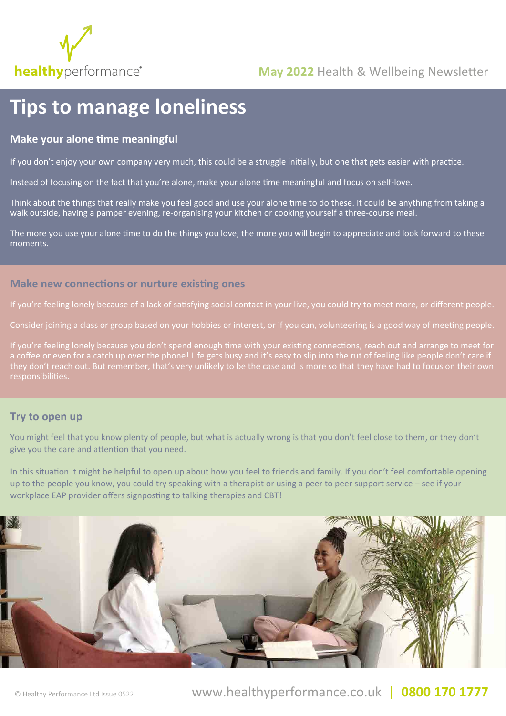

# **Tips to manage loneliness**

#### **Make your alone time meaningful**

If you don't enjoy your own company very much, this could be a struggle initially, but one that gets easier with practice.

Instead of focusing on the fact that you're alone, make your alone time meaningful and focus on self-love.

Think about the things that really make you feel good and use your alone time to do these. It could be anything from taking a walk outside, having a pamper evening, re-organising your kitchen or cooking yourself a three-course meal.

The more you use your alone time to do the things you love, the more you will begin to appreciate and look forward to these moments.

#### **Make new connections or nurture existing ones**

If you're feeling lonely because of a lack of satisfying social contact in your live, you could try to meet more, or different people.

Consider joining a class or group based on your hobbies or interest, or if you can, volunteering is a good way of meeting people.

If you're feeling lonely because you don't spend enough time with your existing connections, reach out and arrange to meet for a coffee or even for a catch up over the phone! Life gets busy and it's easy to slip into the rut of feeling like people don't care if responsibilities.

#### **Try to open up**

You might feel that you know plenty of people, but what is actually wrong is that you don't feel close to them, or they don't give you the care and attention that you need.

In this situation it might be helpful to open up about how you feel to friends and family. If you don't feel comfortable opening up to the people you know, you could try speaking with a therapist or using a peer to peer support service – see if your workplace EAP provider offers signposting to talking therapies and CBT!

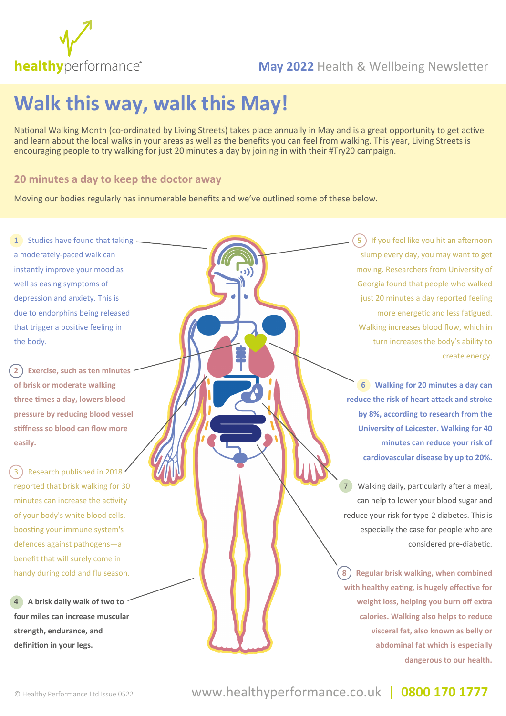<span id="page-2-0"></span>

## **healthy** [performance](www.healthyperformance.co.uk)<sup>®</sup> May 2022 Health & Wellbeing Newsletter

# **Walk this way, walk this May!**

National Walking Month (co-ordinated by Living Streets) takes place annually in May and is a great opportunity to get active and learn about the local walks in your areas as well as the benefits you can feel from walking. This year, Living Streets is encouraging people to try walking for just 20 minutes a day by joining in with their #Try20 campaign.

#### **20 minutes a day to keep the doctor away**

Moving our bodies regularly has innumerable benefits and we've outlined some of these below.

1 Studies have found that taking a moderately-paced walk can instantly improve your mood as well as easing symptoms of depression and anxiety. This is due to endorphins being released that trigger a positive feeling in the body.

**2 Exercise, such as ten minutes of brisk or moderate walking three times a day, lowers blood pressure by reducing blood vessel stiffness so blood can flow more easily.**

3) Research published in 2018 reported that brisk walking for 30 minutes can increase the activity of your body's white blood cells, boosting your immune system's defences against pathogens—a benefit that will surely come in handy during cold and flu season.

**4 A brisk daily walk of two to four miles can increase muscular strength, endurance, and definition in your legs.** 

**5** If you feel like you hit an afternoon slump every day, you may want to get moving. Researchers from University of Georgia found that people who walked just 20 minutes a day reported feeling more energetic and less fatigued. Walking increases blood flow, which in turn increases the body's ability to create energy.

**6 Walking for 20 minutes a day can reduce the risk of heart attack and stroke by 8%, according to research from the University of Leicester. Walking for 40 minutes can reduce your risk of cardiovascular disease by up to 20%.**

Walking daily, particularly after a meal, can help to lower your blood sugar and reduce your risk for type-2 diabetes. This is especially the case for people who are considered pre-diabetic.

**8 Regular brisk walking, when combined with healthy eating, is hugely effective for weight loss, helping you burn off extra calories. Walking also helps to reduce visceral fat, also known as belly or abdominal fat which is especially dangerous to our health.**